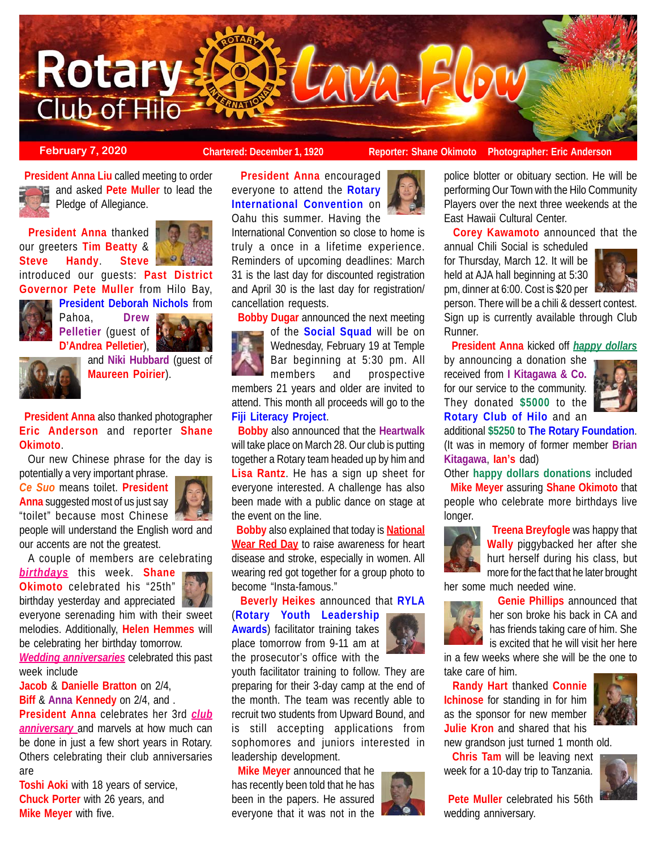

**February 7, 2020 Chartered: December 1, 1920** Reporter: Shane Okimoto Photographer: Eric Anderson

East Hawaii Cultural Center.

police blotter or obituary section. He will be performing Our Town with the Hilo Community Players over the next three weekends at the

**Corey Kawamoto** announced that the

 **President Anna Liu** called meeting to order and asked **Pete Muller** to lead the Pledge of Allegiance.

 **President Anna** thanked our greeters **Tim Beatty** & **Steve Handy**. **Steve** introduced our guests: **Past District**



**Governor Pete Muller** from Hilo Bay, **President Deborah Nichols** from



Pahoa, **Drew Pelletier** (guest of **D'Andrea Pelletier**),





and **Niki Hubbard** (guest of **Maureen Poirier**).

 **President Anna** also thanked photographer **Eric Anderson** and reporter **Shane Okimoto**.

 Our new Chinese phrase for the day is potentially a very important phrase.

*Ce Suo* means toilet. **President Anna** suggested most of us just say "toilet" because most Chinese



people will understand the English word and our accents are not the greatest.

A couple of members are celebrating



birthday yesterday and appreciated everyone serenading him with their sweet melodies. Additionally, **Helen Hemmes** will be celebrating her birthday tomorrow.

*Wedding anniversaries* celebrated this past week include

**Jacob** & **Danielle Bratton** on 2/4,

**Biff** & **Anna Kennedy** on 2/4, and .

**President Anna** celebrates her 3rd *club anniversary* and marvels at how much can be done in just a few short years in Rotary. Others celebrating their club anniversaries are

**Toshi Aoki** with 18 years of service, **Chuck Porter** with 26 years, and **Mike Meyer** with five.



Oahu this summer. Having the



International Convention so close to home is truly a once in a lifetime experience. Reminders of upcoming deadlines: March 31 is the last day for discounted registration and April 30 is the last day for registration/ cancellation requests.

**Bobby Dugar** announced the next meeting

of the **Social Squad** will be on Wednesday, February 19 at Temple Bar beginning at 5:30 pm. All members and prospective members 21 years and older are invited to attend. This month all proceeds will go to the **Fiji Literacy Project**.

 **Bobby** also announced that the **Heartwalk** will take place on March 28. Our club is putting together a Rotary team headed up by him and **Lisa Rantz**. He has a sign up sheet for everyone interested. A challenge has also been made with a public dance on stage at the event on the line.

 **Bobby** also explained that today is **National Wear Red Day** to raise awareness for heart disease and stroke, especially in women. All wearing red got together for a group photo to become "Insta-famous."

 **Beverly Heikes** announced that **RYLA** (**Rotary Youth Leadership**

**Awards**) facilitator training takes place tomorrow from 9-11 am at the prosecutor's office with the



 **Mike Meyer** announced that he has recently been told that he has been in the papers. He assured everyone that it was not in the



annual Chili Social is scheduled for Thursday, March 12. It will be held at AJA hall beginning at 5:30 pm, dinner at 6:00. Cost is \$20 per person. There will be a chili & dessert contest.

Sign up is currently available through Club Runner.

 **President Anna** kicked off *happy dollars* by announcing a donation she received from **I Kitagawa & Co.** for our service to the community. They donated **\$5000** to the

**Rotary Club of Hilo** and an additional **\$5250** to **The Rotary Foundation**. (It was in memory of former member **Brian Kitagawa**, **Ian's** dad) Other **happy dollars donations** included **Mike Meyer** assuring **Shane Okimoto** that

people who celebrate more birthdays live longer.

 **Treena Breyfogle** was happy that **Wally** piggybacked her after she hurt herself during his class, but more for the fact that he later brought

her some much needed wine.



 **Genie Phillips** announced that her son broke his back in CA and has friends taking care of him. She is excited that he will visit her here

in a few weeks where she will be the one to take care of him.

 **Randy Hart** thanked **Connie Ichinose** for standing in for him as the sponsor for new member **Julie Kron** and shared that his new grandson just turned 1 month old.

 **Chris Tam** will be leaving next week for a 10-day trip to Tanzania.



**Pete Muller** celebrated his 56th wedding anniversary.